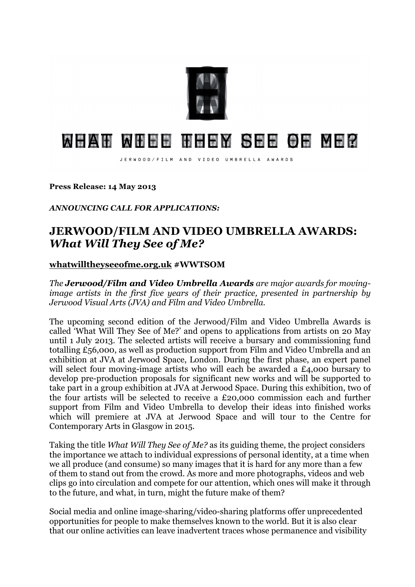

## MHAH MHHH HHHM SHH OH MH2

JERWOOD/FILM AND VIDEO UMBRELLA AWARDS

**Press Release: 14 May 2013** 

*ANNOUNCING CALL FOR APPLICATIONS:*

## **JERWOOD/FILM AND VIDEO UMBRELLA AWARDS:**  *What Will They See of Me?*

## **whatwilltheyseeofme.org.uk #WWTSOM**

*The Jerwood/Film and Video Umbrella Awards are major awards for movingimage artists in the first five years of their practice, presented in partnership by Jerwood Visual Arts (JVA) and Film and Video Umbrella.* 

The upcoming second edition of the Jerwood/Film and Video Umbrella Awards is called 'What Will They See of Me?' and opens to applications from artists on 20 May until 1 July 2013. The selected artists will receive a bursary and commissioning fund totalling £56,000, as well as production support from Film and Video Umbrella and an exhibition at JVA at Jerwood Space, London. During the first phase, an expert panel will select four moving-image artists who will each be awarded a £4,000 bursary to develop pre-production proposals for significant new works and will be supported to take part in a group exhibition at JVA at Jerwood Space. During this exhibition, two of the four artists will be selected to receive a £20,000 commission each and further support from Film and Video Umbrella to develop their ideas into finished works which will premiere at JVA at Jerwood Space and will tour to the Centre for Contemporary Arts in Glasgow in 2015.

Taking the title *What Will They See of Me?* as its guiding theme, the project considers the importance we attach to individual expressions of personal identity, at a time when we all produce (and consume) so many images that it is hard for any more than a few of them to stand out from the crowd. As more and more photographs, videos and web clips go into circulation and compete for our attention, which ones will make it through to the future, and what, in turn, might the future make of them?

Social media and online image-sharing/video-sharing platforms offer unprecedented opportunities for people to make themselves known to the world. But it is also clear that our online activities can leave inadvertent traces whose permanence and visibility